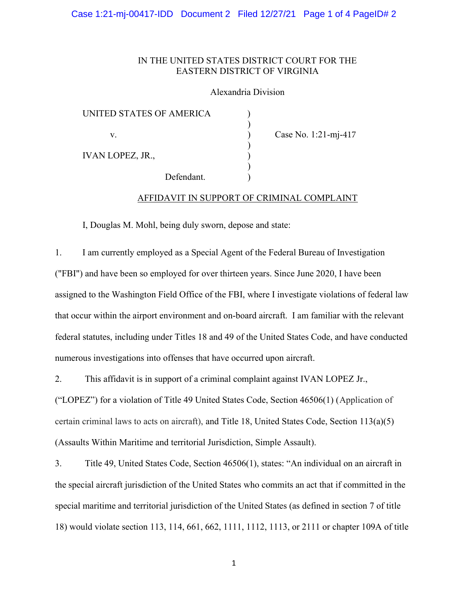## IN THE UNITED STATES DISTRICT COURT FOR THE EASTERN DISTRICT OF VIRGINIA

### Alexandria Division

| UNITED STATES OF AMERICA |            |  |
|--------------------------|------------|--|
|                          |            |  |
| V.                       |            |  |
|                          |            |  |
| <b>IVAN LOPEZ, JR.,</b>  |            |  |
|                          |            |  |
|                          | Defendant. |  |

Case No. 1:21-mj-417

# AFFIDAVIT IN SUPPORT OF CRIMINAL COMPLAINT

I, Douglas M. Mohl, being duly sworn, depose and state:

1. I am currently employed as a Special Agent of the Federal Bureau of Investigation ("FBI") and have been so employed for over thirteen years. Since June 2020, I have been assigned to the Washington Field Office of the FBI, where I investigate violations of federal law that occur within the airport environment and on-board aircraft. I am familiar with the relevant federal statutes, including under Titles 18 and 49 of the United States Code, and have conducted numerous investigations into offenses that have occurred upon aircraft.

2. This affidavit is in support of a criminal complaint against IVAN LOPEZ Jr., ("LOPEZ") for a violation of Title 49 United States Code, Section 46506(1) (Application of certain criminal laws to acts on aircraft), and Title 18, United States Code, Section 113(a)(5) (Assaults Within Maritime and territorial Jurisdiction, Simple Assault).

3. Title 49, United States Code, Section 46506(1), states: "An individual on an aircraft in the special aircraft jurisdiction of the United States who commits an act that if committed in the special maritime and territorial jurisdiction of the United States (as defined in section 7 of title 18) would violate section 113, 114, 661, 662, 1111, 1112, 1113, or 2111 or chapter 109A of title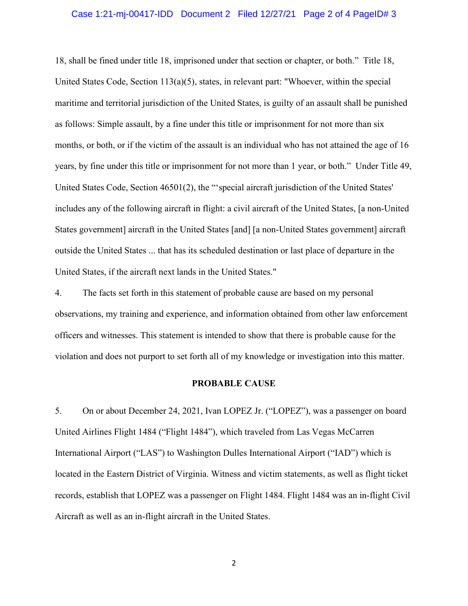#### Case 1:21-mj-00417-IDD Document 2 Filed 12/27/21 Page 2 of 4 PageID# 3

18, shall be fined under title 18, imprisoned under that section or chapter, or both." Title 18, United States Code, Section 113(a)(5), states, in relevant part: "Whoever, within the special maritime and territorial jurisdiction of the United States, is guilty of an assault shall be punished as follows: Simple assault, by a fine under this title or imprisonment for not more than six months, or both, or if the victim of the assault is an individual who has not attained the age of 16 years, by fine under this title or imprisonment for not more than 1 year, or both." Under Title 49, United States Code, Section 46501(2), the "'special aircraft jurisdiction of the United States' includes any of the following aircraft in flight: a civil aircraft of the United States, [a non-United States government] aircraft in the United States [and] [a non-United States government] aircraft outside the United States ... that has its scheduled destination or last place of departure in the United States, if the aircraft next lands in the United States."

4. The facts set forth in this statement of probable cause are based on my personal observations, my training and experience, and information obtained from other law enforcement officers and witnesses. This statement is intended to show that there is probable cause for the violation and does not purport to set forth all of my knowledge or investigation into this matter.

#### PROBABLE CAUSE

5. On or about December 24, 2021, Ivan LOPEZ Jr. ("LOPEZ"), was a passenger on board United Airlines Flight 1484 ("Flight 1484"), which traveled from Las Vegas McCarren International Airport ("LAS") to Washington Dulles International Airport ("IAD") which is located in the Eastern District of Virginia. Witness and victim statements, as well as flight ticket records, establish that LOPEZ was a passenger on Flight 1484. Flight 1484 was an in-flight Civil Aircraft as well as an in-flight aircraft in the United States.

2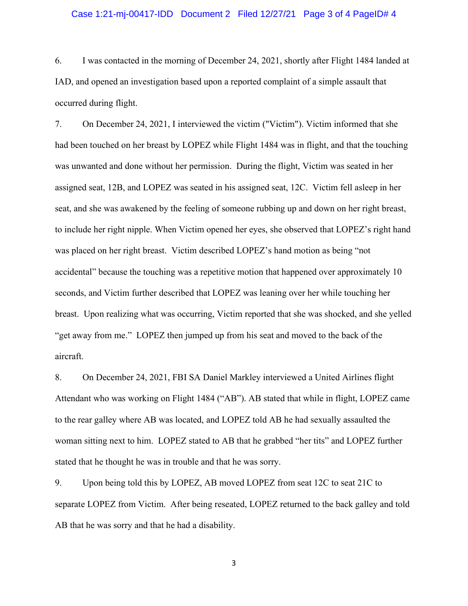#### Case 1:21-mj-00417-IDD Document 2 Filed 12/27/21 Page 3 of 4 PageID# 4

6. I was contacted in the morning of December 24, 2021, shortly after Flight 1484 landed at IAD, and opened an investigation based upon a reported complaint of a simple assault that occurred during flight.

7. On December 24, 2021, I interviewed the victim ("Victim"). Victim informed that she had been touched on her breast by LOPEZ while Flight 1484 was in flight, and that the touching was unwanted and done without her permission. During the flight, Victim was seated in her assigned seat, 12B, and LOPEZ was seated in his assigned seat, 12C. Victim fell asleep in her seat, and she was awakened by the feeling of someone rubbing up and down on her right breast, to include her right nipple. When Victim opened her eyes, she observed that LOPEZ's right hand was placed on her right breast. Victim described LOPEZ's hand motion as being "not accidental" because the touching was a repetitive motion that happened over approximately 10 seconds, and Victim further described that LOPEZ was leaning over her while touching her breast. Upon realizing what was occurring, Victim reported that she was shocked, and she yelled "get away from me." LOPEZ then jumped up from his seat and moved to the back of the aircraft.

8. On December 24, 2021, FBI SA Daniel Markley interviewed a United Airlines flight Attendant who was working on Flight 1484 ("AB"). AB stated that while in flight, LOPEZ came to the rear galley where AB was located, and LOPEZ told AB he had sexually assaulted the woman sitting next to him. LOPEZ stated to AB that he grabbed "her tits" and LOPEZ further stated that he thought he was in trouble and that he was sorry.

9. Upon being told this by LOPEZ, AB moved LOPEZ from seat 12C to seat 21C to separate LOPEZ from Victim. After being reseated, LOPEZ returned to the back galley and told AB that he was sorry and that he had a disability.

3